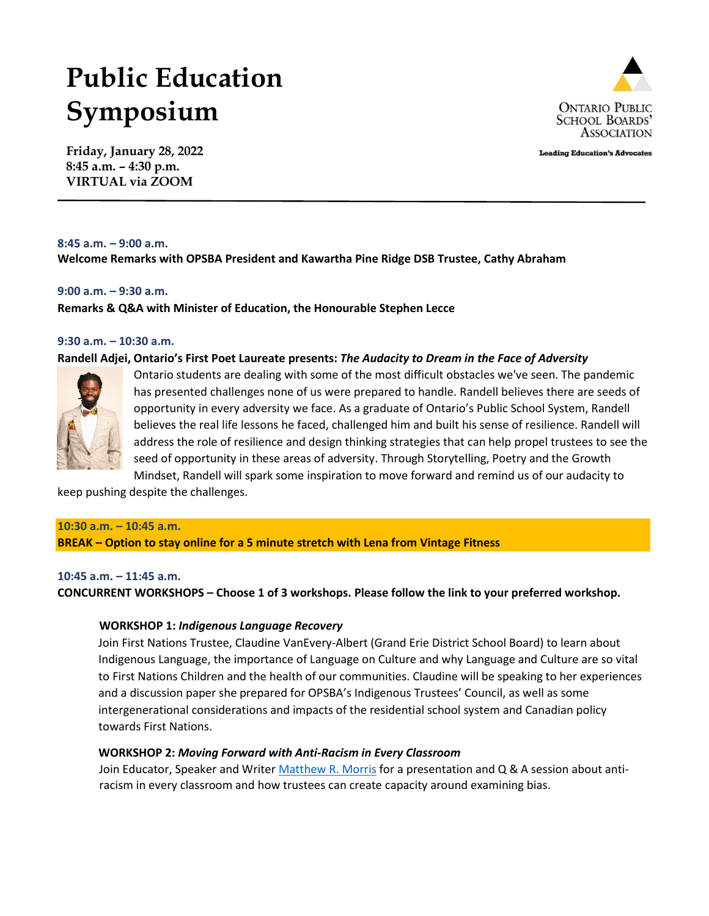# **Public Education Symposium**



**Leading Education's Advocates** 

**Friday, January 28, 2022 8:45 a.m. – 4:30 p.m. VIRTUAL via ZOOM**

#### **8:45 a.m. – 9:00 a.m.**

**Welcome Remarks with OPSBA President and Kawartha Pine Ridge DSB Trustee, Cathy Abraham**

# **9:00 a.m. – 9:30 a.m.**

**Remarks & Q&A with Minister of Education, the Honourable Stephen Lecce**

#### **9:30 a.m. – 10:30 a.m.**

#### **Randell Adjei, Ontario's First Poet Laureate presents:** *The Audacity to Dream in the Face of Adversity*



Ontario students are dealing with some of the most difficult obstacles we've seen. The pandemic has presented challenges none of us were prepared to handle. Randell believes there are seeds of opportunity in every adversity we face. As a graduate of Ontario's Public School System, Randell believes the real life lessons he faced, challenged him and built his sense of resilience. Randell will address the role of resilience and design thinking strategies that can help propel trustees to see the seed of opportunity in these areas of adversity. Through Storytelling, Poetry and the Growth Mindset, Randell will spark some inspiration to move forward and remind us of our audacity to

keep pushing despite the challenges.

#### **10:30 a.m. – 10:45 a.m.**

**BREAK – Option to stay online for a 5 minute stretch with Lena from Vintage Fitness**

#### **10:45 a.m. – 11:45 a.m.**

**CONCURRENT WORKSHOPS – Choose 1 of 3 workshops. Please follow the link to your preferred workshop.**

# **WORKSHOP 1:** *Indigenous Language Recovery*

Join First Nations Trustee, Claudine VanEvery-Albert (Grand Erie District School Board) to learn about Indigenous Language, the importance of Language on Culture and why Language and Culture are so vital to First Nations Children and the health of our communities. Claudine will be speaking to her experiences and a discussion paper she prepared for OPSBA's Indigenous Trustees' Council, as well as some intergenerational considerations and impacts of the residential school system and Canadian policy towards First Nations.

# **WORKSHOP 2:** *Moving Forward with Anti-Racism in Every Classroom*

Join Educator, Speaker and Write[r Matthew R. Morris](https://www.matthewrmorris.com/) for a presentation and Q & A session about antiracism in every classroom and how trustees can create capacity around examining bias.